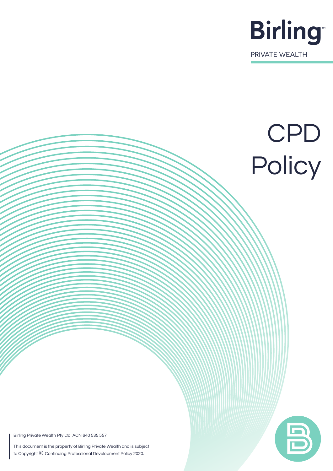

# CPD Policy

Birling Private Wealth Pty Ltd ACN 640 535 557

This document is the property of Birling Private Wealth and is subject to Copyright © Continuing Professional Development Policy 2020.

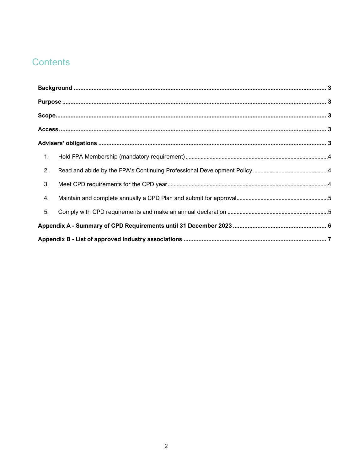# Contents

| 1. |  |  |  |  |  |  |
|----|--|--|--|--|--|--|
| 2. |  |  |  |  |  |  |
| 3. |  |  |  |  |  |  |
| 4. |  |  |  |  |  |  |
| 5. |  |  |  |  |  |  |
|    |  |  |  |  |  |  |
|    |  |  |  |  |  |  |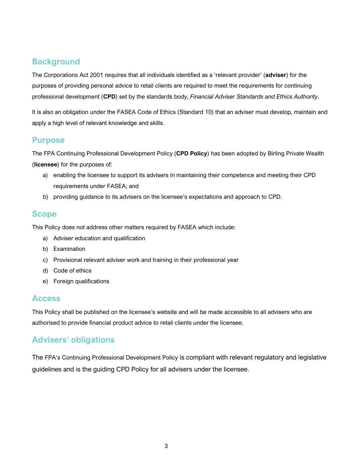# <span id="page-2-0"></span>**Background**

The Corporations Act 2001 requires that all individuals identified as a 'relevant provider' (**adviser**) for the purposes of providing personal advice to retail clients are required to meet the requirements for continuing professional development (**CPD**) set by the standards body, *Financial Adviser Standards and Ethics Authority*.

It is also an obligation under the FASEA Code of Ethics (Standard 10) that an adviser must develop, maintain and apply a high level of relevant knowledge and skills.

### <span id="page-2-1"></span>**Purpose**

The FPA Continuing Professional Development Policy (**CPD Policy**) has been adopted by Birling Private Wealth (**licensee**) for the purposes of:

- a) enabling the licensee to support its advisers in maintaining their competence and meeting their CPD requirements under FASEA; and
- b) providing guidance to its advisers on the licensee's expectations and approach to CPD.

## <span id="page-2-2"></span>**Scope**

This Policy does not address other matters required by FASEA which include:

- a) Adviser education and qualification
- b) Examination
- c) Provisional relevant adviser work and training in their professional year
- d) Code of ethics
- e) Foreign qualifications

#### <span id="page-2-3"></span>**Access**

This Policy shall be published on the licensee's website and will be made accessible to all advisers who are authorised to provide financial product advice to retail clients under the licensee.

# <span id="page-2-4"></span>**Advisers' obligations**

The FPA's Continuing Professional Development Policy is compliant with relevant regulatory and legislative guidelines and is the guiding CPD Policy for all advisers under the licensee.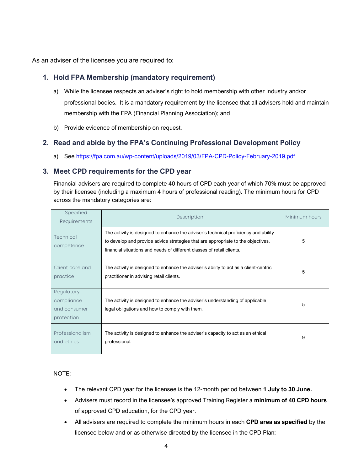As an adviser of the licensee you are required to:

#### <span id="page-3-0"></span>**1. Hold FPA Membership (mandatory requirement)**

- a) While the licensee respects an adviser's right to hold membership with other industry and/or professional bodies. It is a mandatory requirement by the licensee that all advisers hold and maintain membership with the FPA (Financial Planning Association); and
- b) Provide evidence of membership on request.

#### <span id="page-3-1"></span>**2. Read and abide by the FPA's Continuing Professional Development Policy**

a) See<https://fpa.com.au/wp-content/uploads/2019/03/FPA-CPD-Policy-February-2019.pdf>

#### <span id="page-3-2"></span>**3. Meet CPD requirements for the CPD year**

Financial advisers are required to complete 40 hours of CPD each year of which 70% must be approved by their licensee (including a maximum 4 hours of professional reading). The minimum hours for CPD across the mandatory categories are:

| Specified<br>Requirements                              | Description                                                                                                                                                                                                                                       | Minimum hours |
|--------------------------------------------------------|---------------------------------------------------------------------------------------------------------------------------------------------------------------------------------------------------------------------------------------------------|---------------|
| Technical<br>competence                                | The activity is designed to enhance the adviser's technical proficiency and ability<br>to develop and provide advice strategies that are appropriate to the objectives,<br>financial situations and needs of different classes of retail clients. | 5             |
| Client care and<br>practice                            | The activity is designed to enhance the adviser's ability to act as a client-centric<br>practitioner in advising retail clients.                                                                                                                  | 5             |
| Regulatory<br>compliance<br>and consumer<br>protection | The activity is designed to enhance the adviser's understanding of applicable<br>legal obligations and how to comply with them.                                                                                                                   | 5             |
| Professionalism<br>and ethics                          | The activity is designed to enhance the adviser's capacity to act as an ethical<br>professional.                                                                                                                                                  | 9             |

NOTE:

- The relevant CPD year for the licensee is the 12-month period between **1 July to 30 June.**
- Advisers must record in the licensee's approved Training Register a **minimum of 40 CPD hours** of approved CPD education, for the CPD year.
- All advisers are required to complete the minimum hours in each **CPD area as specified** by the licensee below and or as otherwise directed by the licensee in the CPD Plan: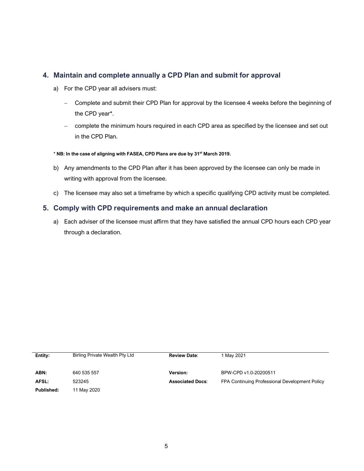#### <span id="page-4-0"></span>**4. Maintain and complete annually a CPD Plan and submit for approval**

- a) For the CPD year all advisers must:
	- − Complete and submit their CPD Plan for approval by the licensee 4 weeks before the beginning of the CPD year\*.
	- − complete the minimum hours required in each CPD area as specified by the licensee and set out in the CPD Plan.
- \* **NB: In the case of aligning with FASEA, CPD Plans are due by 31st March 2019.**
- b) Any amendments to the CPD Plan after it has been approved by the licensee can only be made in writing with approval from the licensee.
- c) The licensee may also set a timeframe by which a specific qualifying CPD activity must be completed.

#### <span id="page-4-1"></span>**5. Comply with CPD requirements and make an annual declaration**

a) Each adviser of the licensee must affirm that they have satisfied the annual CPD hours each CPD year through a declaration.

| Entity:    | Birling Private Wealth Pty Ltd | <b>Review Date:</b>     | 1 May 2021                                     |
|------------|--------------------------------|-------------------------|------------------------------------------------|
|            |                                |                         |                                                |
| ABN:       | 640 535 557                    | Version:                | BPW-CPD v1.0-20200511                          |
| AFSL:      | 523245                         | <b>Associated Docs:</b> | FPA Continuing Professional Development Policy |
| Published: | 11 May 2020                    |                         |                                                |
|            |                                |                         |                                                |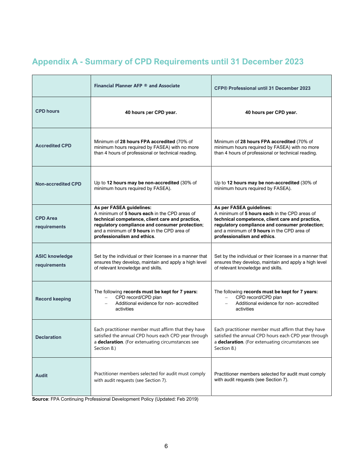<span id="page-5-0"></span>

|  |  |  |  |  | <b>Appendix A - Summary of CPD Requirements until 31 December 2023</b> |  |
|--|--|--|--|--|------------------------------------------------------------------------|--|
|  |  |  |  |  |                                                                        |  |

|                                       | Financial Planner AFP ® and Associate                                                                                                                                                                                                                        | CFP® Professional until 31 December 2023                                                                                                                                                                                                                     |  |  |  |
|---------------------------------------|--------------------------------------------------------------------------------------------------------------------------------------------------------------------------------------------------------------------------------------------------------------|--------------------------------------------------------------------------------------------------------------------------------------------------------------------------------------------------------------------------------------------------------------|--|--|--|
| <b>CPD hours</b>                      | 40 hours per CPD year.                                                                                                                                                                                                                                       | 40 hours per CPD year.                                                                                                                                                                                                                                       |  |  |  |
| <b>Accredited CPD</b>                 | Minimum of 28 hours FPA accredited (70% of<br>minimum hours required by FASEA) with no more<br>than 4 hours of professional or technical reading.                                                                                                            | Minimum of 28 hours FPA accredited (70% of<br>minimum hours required by FASEA) with no more<br>than 4 hours of professional or technical reading.                                                                                                            |  |  |  |
| <b>Non-accredited CPD</b>             | Up to 12 hours may be non-accredited (30% of<br>minimum hours required by FASEA).                                                                                                                                                                            | Up to 12 hours may be non-accredited (30% of<br>minimum hours required by FASEA).                                                                                                                                                                            |  |  |  |
| <b>CPD Area</b><br>requirements       | As per FASEA guidelines:<br>A minimum of 5 hours each in the CPD areas of<br>technical competence, client care and practice,<br>regulatory compliance and consumer protection;<br>and a minimum of 9 hours in the CPD area of<br>professionalism and ethics. | As per FASEA guidelines:<br>A minimum of 5 hours each in the CPD areas of<br>technical competence, client care and practice,<br>regulatory compliance and consumer protection;<br>and a minimum of 9 hours in the CPD area of<br>professionalism and ethics. |  |  |  |
| <b>ASIC knowledge</b><br>requirements | Set by the individual or their licensee in a manner that<br>ensures they develop, maintain and apply a high level<br>of relevant knowledge and skills.                                                                                                       | Set by the individual or their licensee in a manner that<br>ensures they develop, maintain and apply a high level<br>of relevant knowledge and skills.                                                                                                       |  |  |  |
| <b>Record keeping</b>                 | The following records must be kept for 7 years:<br>CPD record/CPD plan<br>Additional evidence for non- accredited<br>activities                                                                                                                              | The following records must be kept for 7 years:<br>CPD record/CPD plan<br>Additional evidence for non- accredited<br>activities                                                                                                                              |  |  |  |
| <b>Declaration</b>                    | Each practitioner member must affirm that they have<br>satisfied the annual CPD hours each CPD year through<br>a declaration. (For extenuating circumstances see<br>Section 8.)                                                                              | Each practitioner member must affirm that they have<br>satisfied the annual CPD hours each CPD year through<br>a declaration. (For extenuating circumstances see<br>Section 8.)                                                                              |  |  |  |
| <b>Audit</b>                          | Practitioner members selected for audit must comply<br>with audit requests (see Section 7).                                                                                                                                                                  | Practitioner members selected for audit must comply<br>with audit requests (see Section 7).                                                                                                                                                                  |  |  |  |

**Source**: FPA Continuing Professional Development Policy (Updated: Feb 2019)